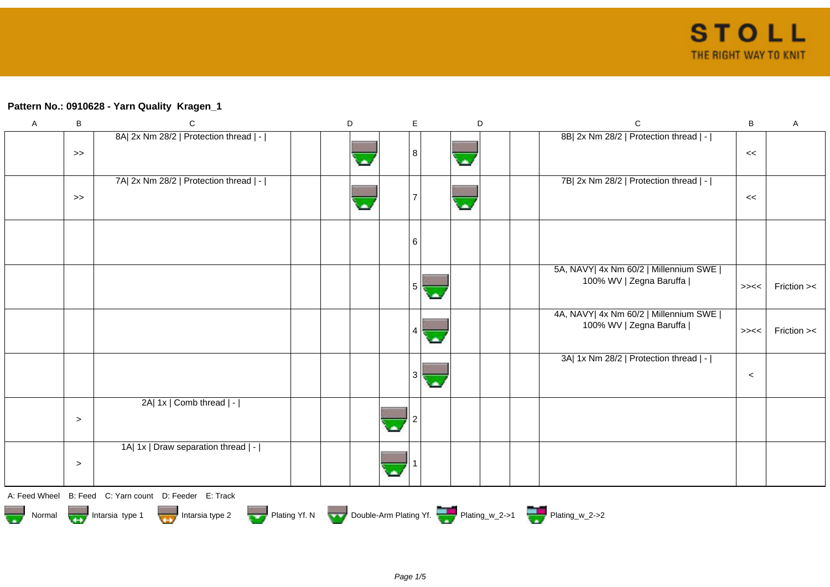## **Pattern No.: 0910628 - Yarn Quality Kragen\_1**

| $\boldsymbol{\mathsf{A}}$ | $\sf B$                                                                                                                                                                                                                              | ${\bf C}$                                              |  | D |  | $\mathsf E$ |       | $\mathsf D$ |  |  | $\mathsf C$                                                        | $\sf B$ | A           |
|---------------------------|--------------------------------------------------------------------------------------------------------------------------------------------------------------------------------------------------------------------------------------|--------------------------------------------------------|--|---|--|-------------|-------|-------------|--|--|--------------------------------------------------------------------|---------|-------------|
|                           | $>\!>$                                                                                                                                                                                                                               | 8A  2x Nm 28/2   Protection thread   -                 |  |   |  | 8           |       |             |  |  | 8B  2x Nm 28/2   Protection thread   -                             | <<      |             |
|                           | $\gt$                                                                                                                                                                                                                                | 7A  2x Nm 28/2   Protection thread   -                 |  |   |  |             |       |             |  |  | 7B  2x Nm 28/2   Protection thread   -                             | $\,<$   |             |
|                           |                                                                                                                                                                                                                                      |                                                        |  |   |  | 6           |       |             |  |  |                                                                    |         |             |
|                           |                                                                                                                                                                                                                                      |                                                        |  |   |  | 5           | olin, |             |  |  | 5A, NAVY  4x Nm 60/2   Millennium SWE  <br>100% WV   Zegna Baruffa | >><<    | Friction >< |
|                           |                                                                                                                                                                                                                                      |                                                        |  |   |  | 4           |       |             |  |  | 4A, NAVY  4x Nm 60/2   Millennium SWE  <br>100% WV   Zegna Baruffa | >><<    | Friction >< |
|                           |                                                                                                                                                                                                                                      |                                                        |  |   |  | 3           | CA.   |             |  |  | 3A  1x Nm 28/2   Protection thread   -                             | $\,<$   |             |
|                           | $\geq$                                                                                                                                                                                                                               | 2A  1x   Comb thread   -                               |  |   |  |             |       |             |  |  |                                                                    |         |             |
|                           | $\geq$                                                                                                                                                                                                                               | 1A  1x   Draw separation thread   -                    |  |   |  |             |       |             |  |  |                                                                    |         |             |
|                           |                                                                                                                                                                                                                                      | A: Feed Wheel B: Feed C: Yarn count D: Feeder E: Track |  |   |  |             |       |             |  |  |                                                                    |         |             |
|                           | Normal <b>Department of the School School School School School School School School School School School School School School School School School School School School School School School School School School School School </b> |                                                        |  |   |  |             |       |             |  |  |                                                                    |         |             |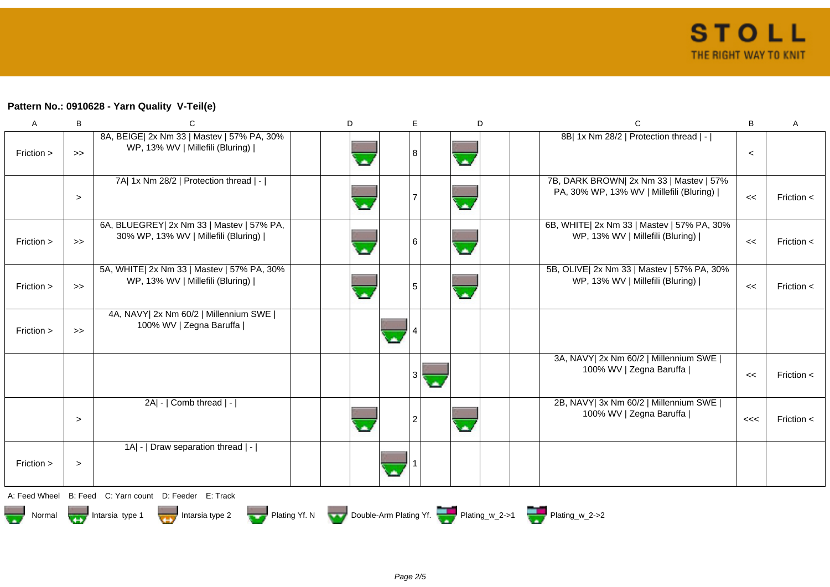## **Pattern No.: 0910628 - Yarn Quality V-Teil(e)**

| A          | B                                                                                                        | C                                                                                 |  | D | E              |  | D                        |  | C                                                                                   | В     | $\mathsf{A}$   |  |
|------------|----------------------------------------------------------------------------------------------------------|-----------------------------------------------------------------------------------|--|---|----------------|--|--------------------------|--|-------------------------------------------------------------------------------------|-------|----------------|--|
| Friction > | $\gt$                                                                                                    | 8A, BEIGE  2x Nm 33   Mastev   57% PA, 30%<br>WP, 13% WV   Millefili (Bluring)    |  |   | 8              |  | а.                       |  | 8B  1x Nm 28/2   Protection thread   -                                              | $\,<$ |                |  |
|            | $\geq$                                                                                                   | 7A  1x Nm 28/2   Protection thread   -                                            |  |   |                |  | ä.                       |  | 7B, DARK BROWN  2x Nm 33   Mastev   57%<br>PA, 30% WP, 13% WV   Millefili (Bluring) | <<    | Friction $\lt$ |  |
| Friction > | $\gt$                                                                                                    | 6A, BLUEGREY  2x Nm 33   Mastev   57% PA,<br>30% WP, 13% WV   Millefili (Bluring) |  |   | 6              |  | ц.                       |  | 6B, WHITE  2x Nm 33   Mastev   57% PA, 30%<br>WP, 13% WV   Millefili (Bluring)      | <<    | Friction $\lt$ |  |
| Friction > | $\boldsymbol{>}$                                                                                         | 5A, WHITE  2x Nm 33   Mastev   57% PA, 30%<br>WP, 13% WV   Millefili (Bluring)    |  |   | 5              |  | $\overline{\phantom{a}}$ |  | 5B, OLIVE  2x Nm 33   Mastev   57% PA, 30%<br>WP, 13% WV   Millefili (Bluring)      | <<    | Friction $\lt$ |  |
| Friction > | $\gt$                                                                                                    | 4A, NAVY  2x Nm 60/2   Millennium SWE  <br>100% WV   Zegna Baruffa                |  |   |                |  |                          |  |                                                                                     |       |                |  |
|            |                                                                                                          |                                                                                   |  |   | 3              |  |                          |  | 3A, NAVY  2x Nm 60/2   Millennium SWE  <br>100% WV   Zegna Baruffa                  | <<    | Friction $\lt$ |  |
|            | $\geq$                                                                                                   | 2A  -   Comb thread   -                                                           |  |   | $\overline{2}$ |  | а.                       |  | 2B, NAVY  3x Nm 60/2   Millennium SWE  <br>100% WV   Zegna Baruffa                  | <<    | Friction <     |  |
| Friction > | $\geq$                                                                                                   | 1A  -   Draw separation thread   -                                                |  |   |                |  |                          |  |                                                                                     |       |                |  |
|            |                                                                                                          | A: Feed Wheel B: Feed C: Yarn count D: Feeder E: Track                            |  |   |                |  |                          |  |                                                                                     |       |                |  |
| Normal     | Plating Yf. N Double-Arm Plating Yf. Plating_w_2->1 Plating_w_2->2<br>Intarsia type 1<br>Intarsia type 2 |                                                                                   |  |   |                |  |                          |  |                                                                                     |       |                |  |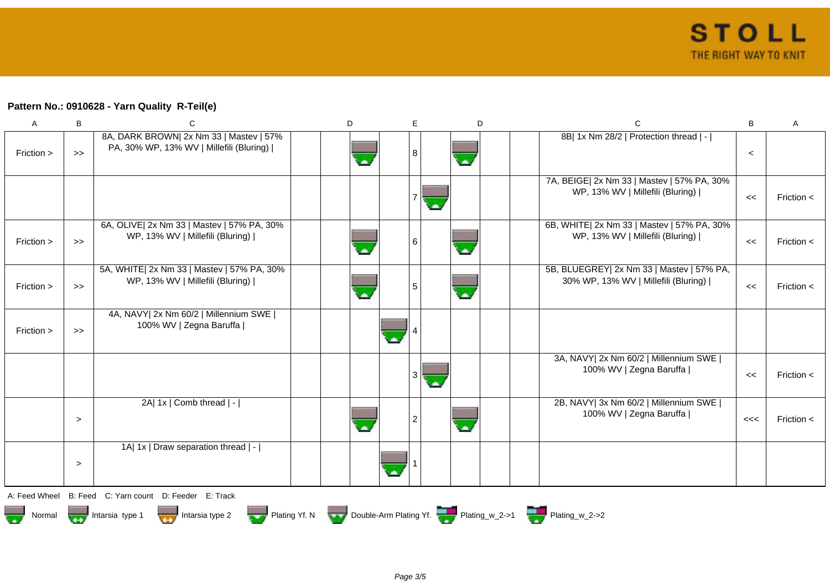### **Pattern No.: 0910628 - Yarn Quality R-Teil(e)**

| A          | B                | C                                                                                   | D | E | D  | C                                                                                 | B       | A              |
|------------|------------------|-------------------------------------------------------------------------------------|---|---|----|-----------------------------------------------------------------------------------|---------|----------------|
| Friction > | $\gt$            | 8A, DARK BROWN  2x Nm 33   Mastev   57%<br>PA, 30% WP, 13% WV   Millefili (Bluring) |   | 8 | ×. | 8B  1x Nm 28/2   Protection thread   -                                            | $\prec$ |                |
|            |                  |                                                                                     |   |   |    | 7A, BEIGE  2x Nm 33   Mastev   57% PA, 30%<br>WP, 13% WV   Millefili (Bluring)    | <<      | Friction $\lt$ |
| Friction > | $\gt$            | 6A, OLIVE  2x Nm 33   Mastev   57% PA, 30%<br>WP, 13% WV   Millefili (Bluring)      |   | 6 | ä. | 6B, WHITE  2x Nm 33   Mastev   57% PA, 30%<br>WP, 13% WV   Millefili (Bluring)    | <<      | Friction $\lt$ |
| Friction > | $\gt$            | 5A, WHITE  2x Nm 33   Mastev   57% PA, 30%<br>WP, 13% WV   Millefili (Bluring)      |   | 5 | Ä, | 5B, BLUEGREY  2x Nm 33   Mastev   57% PA,<br>30% WP, 13% WV   Millefili (Bluring) | <<      | Friction $\lt$ |
| Friction > | $\boldsymbol{>}$ | 4A, NAVY  2x Nm 60/2   Millennium SWE  <br>100% WV   Zegna Baruffa                  |   |   |    |                                                                                   |         |                |
|            |                  |                                                                                     |   | 3 |    | 3A, NAVY  2x Nm 60/2   Millennium SWE  <br>100% WV   Zegna Baruffa                | <<      | Friction $\lt$ |
|            | $\geq$           | 2A  1x   Comb thread   -                                                            |   | 2 | ×  | 2B, NAVY  3x Nm 60/2   Millennium SWE  <br>100% WV   Zegna Baruffa                | <<      | Friction $\lt$ |
|            | $\geq$           | 1A  1x   Draw separation thread   -                                                 |   |   |    |                                                                                   |         |                |
|            |                  | A: Feed Wheel B: Feed C: Yarn count D: Feeder E: Track                              |   |   |    |                                                                                   |         |                |







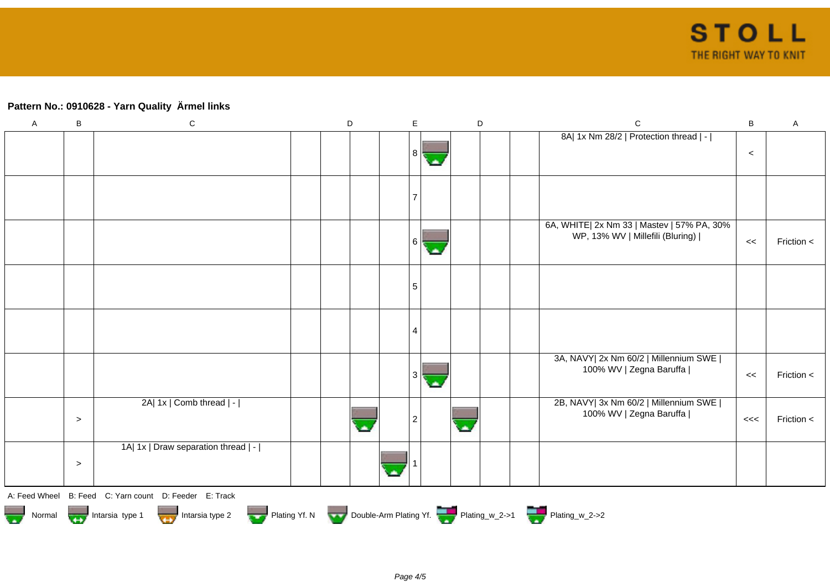# **Pattern No.: 0910628 - Yarn Quality Ärmel links**

| $\mathsf A$ | $\sf B$                                                                                               | ${\bf C}$                                              |  | $\mathsf D$ |  | $\mathsf E$ | $\mathsf D$ |  |  | $\mathsf C$                                                                    | $\, {\bf B}$ | A          |  |
|-------------|-------------------------------------------------------------------------------------------------------|--------------------------------------------------------|--|-------------|--|-------------|-------------|--|--|--------------------------------------------------------------------------------|--------------|------------|--|
|             |                                                                                                       |                                                        |  |             |  | 8           |             |  |  | 8A  1x Nm 28/2   Protection thread   -                                         | $\,<$        |            |  |
|             |                                                                                                       |                                                        |  |             |  |             |             |  |  |                                                                                |              |            |  |
|             |                                                                                                       |                                                        |  |             |  | - 6 I       |             |  |  | 6A, WHITE  2x Nm 33   Mastev   57% PA, 30%<br>WP, 13% WV   Millefili (Bluring) | <<           | Friction < |  |
|             |                                                                                                       |                                                        |  |             |  | 5           |             |  |  |                                                                                |              |            |  |
|             |                                                                                                       |                                                        |  |             |  | Δ           |             |  |  |                                                                                |              |            |  |
|             |                                                                                                       |                                                        |  |             |  |             |             |  |  | 3A, NAVY  2x Nm 60/2   Millennium SWE  <br>100% WV   Zegna Baruffa             | <<           | Friction < |  |
|             | $\geq$                                                                                                | 2A  1x   Comb thread   -                               |  |             |  |             | ä.          |  |  | 2B, NAVY  3x Nm 60/2   Millennium SWE  <br>100% WV   Zegna Baruffa             | <<           | Friction < |  |
|             | $\,>$                                                                                                 | 1A  1x   Draw separation thread   -                    |  |             |  |             |             |  |  |                                                                                |              |            |  |
|             |                                                                                                       | A: Feed Wheel B: Feed C: Yarn count D: Feeder E: Track |  |             |  |             |             |  |  |                                                                                |              |            |  |
|             | Normal Montain Strategy Intarsia type 2 Plating Yf. N Double-Arm Plating Yf. N Double-Arm Plating Yf. |                                                        |  |             |  |             |             |  |  |                                                                                |              |            |  |